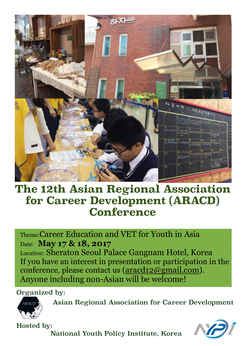

## **The 12th Asian Regional Association for Career Development (ARACD) Conference**

Theme:Career Education and VET for Youth in Asia Date: **May 17 & 18, 2017**  Location: Sheraton Seoul Palace Gangnam Hotel, Korea If you have an interest in presentation or participation in the conference, please contact us [\(aracd12@gmail.com](mailto:aracd12@gmail.com)). Anyone including non-Asian will be welcome!

Organized by:



Asian Regional Association for Career Development

Hosted by:

National Youth Policy Institute, Korea